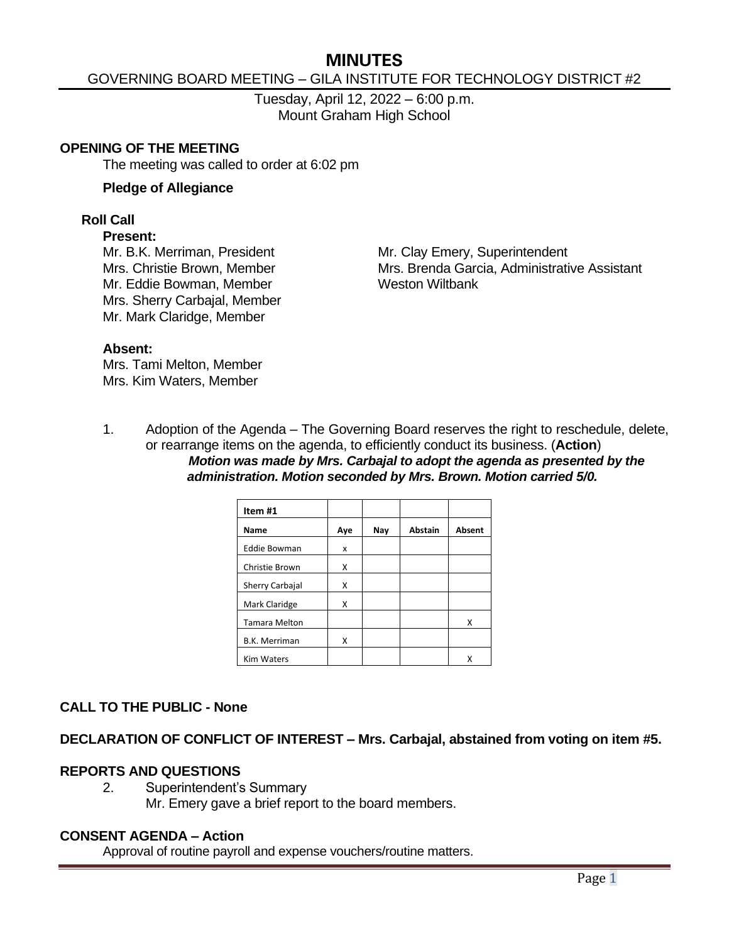# **MINUTES**

## GOVERNING BOARD MEETING – GILA INSTITUTE FOR TECHNOLOGY DISTRICT #2

Tuesday, April 12, 2022 – 6:00 p.m. Mount Graham High School

#### **OPENING OF THE MEETING**

The meeting was called to order at 6:02 pm

#### **Pledge of Allegiance**

#### **Roll Call**

#### **Present:**

Mr. Eddie Bowman, Member Weston Wiltbank Mrs. Sherry Carbajal, Member Mr. Mark Claridge, Member

Mr. B.K. Merriman, President Mr. Clay Emery, Superintendent Mrs. Christie Brown, Member Mrs. Brenda Garcia, Administrative Assistant

#### **Absent:**

Mrs. Tami Melton, Member Mrs. Kim Waters, Member

1. Adoption of the Agenda – The Governing Board reserves the right to reschedule, delete, or rearrange items on the agenda, to efficiently conduct its business. (**Action**) *Motion was made by Mrs. Carbajal to adopt the agenda as presented by the administration. Motion seconded by Mrs. Brown. Motion carried 5/0.*

| Item #1              |     |     |                |        |
|----------------------|-----|-----|----------------|--------|
| Name                 | Aye | Nay | <b>Abstain</b> | Absent |
| <b>Eddie Bowman</b>  | x   |     |                |        |
| Christie Brown       | X   |     |                |        |
| Sherry Carbajal      | x   |     |                |        |
| Mark Claridge        | x   |     |                |        |
| <b>Tamara Melton</b> |     |     |                | x      |
| <b>B.K. Merriman</b> | X   |     |                |        |
| <b>Kim Waters</b>    |     |     |                | x      |

#### **CALL TO THE PUBLIC - None**

**DECLARATION OF CONFLICT OF INTEREST – Mrs. Carbajal, abstained from voting on item #5.**

#### **REPORTS AND QUESTIONS**

2. Superintendent's Summary Mr. Emery gave a brief report to the board members.

#### **CONSENT AGENDA – Action**

Approval of routine payroll and expense vouchers/routine matters.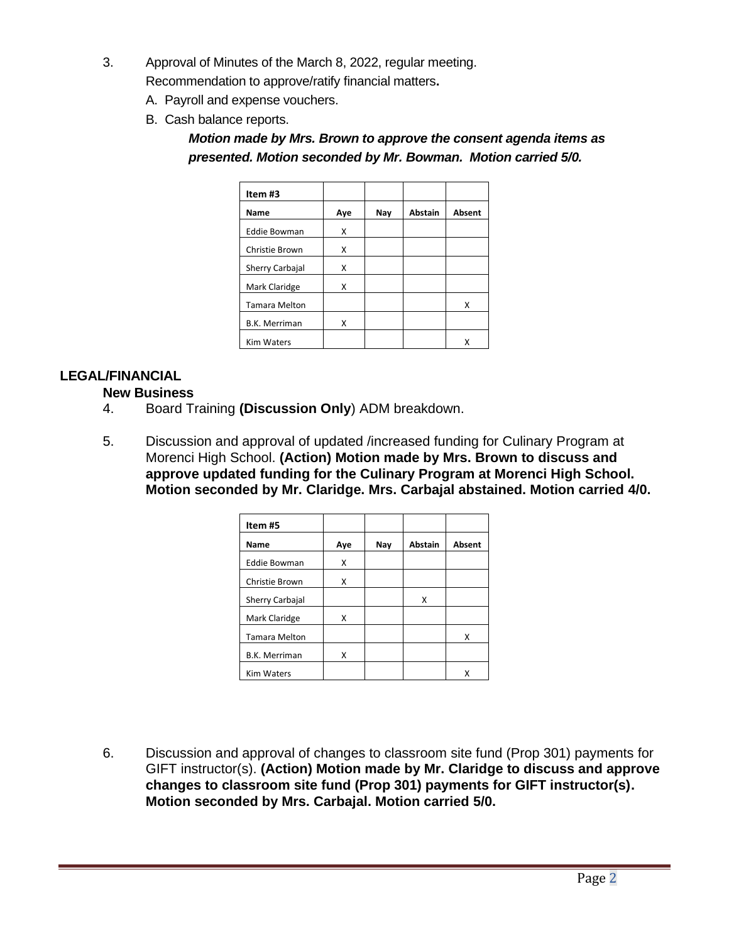3. Approval of Minutes of the March 8, 2022, regular meeting.

Recommendation to approve/ratify financial matters**.**

- A. Payroll and expense vouchers.
- B. Cash balance reports.

*Motion made by Mrs. Brown to approve the consent agenda items as presented. Motion seconded by Mr. Bowman. Motion carried 5/0.*

| Item#3               |     |     |                |        |
|----------------------|-----|-----|----------------|--------|
| <b>Name</b>          | Aye | Nay | <b>Abstain</b> | Absent |
| <b>Eddie Bowman</b>  | x   |     |                |        |
| Christie Brown       | X   |     |                |        |
| Sherry Carbajal      | x   |     |                |        |
| Mark Claridge        | X   |     |                |        |
| <b>Tamara Melton</b> |     |     |                | x      |
| <b>B.K. Merriman</b> | Χ   |     |                |        |
| <b>Kim Waters</b>    |     |     |                | x      |

## **LEGAL/FINANCIAL**

## **New Business**

- 4. Board Training **(Discussion Only**) ADM breakdown.
- 5. Discussion and approval of updated /increased funding for Culinary Program at Morenci High School. **(Action) Motion made by Mrs. Brown to discuss and approve updated funding for the Culinary Program at Morenci High School. Motion seconded by Mr. Claridge. Mrs. Carbajal abstained. Motion carried 4/0.**

| Item#5               |     |     |         |        |
|----------------------|-----|-----|---------|--------|
| Name                 | Aye | Nay | Abstain | Absent |
| <b>Eddie Bowman</b>  | X   |     |         |        |
| Christie Brown       | x   |     |         |        |
| Sherry Carbajal      |     |     | x       |        |
| Mark Claridge        | x   |     |         |        |
| <b>Tamara Melton</b> |     |     |         | X      |
| <b>B.K. Merriman</b> | Χ   |     |         |        |
| <b>Kim Waters</b>    |     |     |         | x      |

6. Discussion and approval of changes to classroom site fund (Prop 301) payments for GIFT instructor(s). **(Action) Motion made by Mr. Claridge to discuss and approve changes to classroom site fund (Prop 301) payments for GIFT instructor(s). Motion seconded by Mrs. Carbajal. Motion carried 5/0.**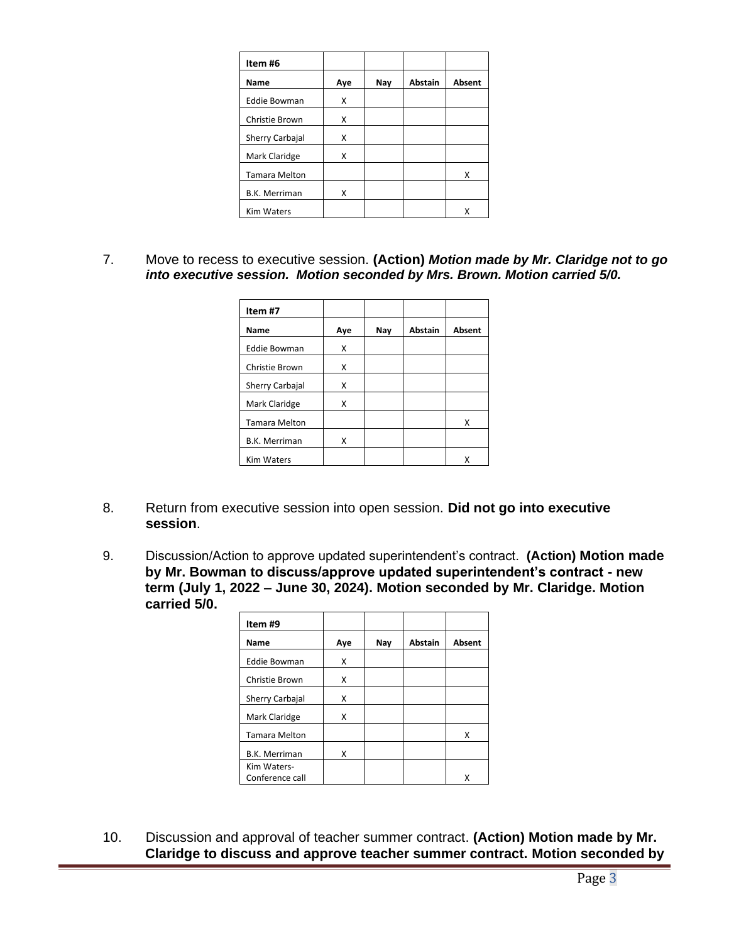| Item#6               |     |     |                |               |
|----------------------|-----|-----|----------------|---------------|
| <b>Name</b>          | Aye | Nay | <b>Abstain</b> | <b>Absent</b> |
| <b>Eddie Bowman</b>  | x   |     |                |               |
| Christie Brown       | Χ   |     |                |               |
| Sherry Carbajal      | X   |     |                |               |
| Mark Claridge        | Χ   |     |                |               |
| <b>Tamara Melton</b> |     |     |                | X             |
| <b>B.K. Merriman</b> | x   |     |                |               |
| <b>Kim Waters</b>    |     |     |                | Χ             |

7. Move to recess to executive session. **(Action)** *Motion made by Mr. Claridge not to go into executive session. Motion seconded by Mrs. Brown. Motion carried 5/0.*

| Item #7              |     |     |                |        |
|----------------------|-----|-----|----------------|--------|
| Name                 | Aye | Nay | <b>Abstain</b> | Absent |
| <b>Eddie Bowman</b>  | x   |     |                |        |
| Christie Brown       | x   |     |                |        |
| Sherry Carbajal      | x   |     |                |        |
| Mark Claridge        | x   |     |                |        |
| <b>Tamara Melton</b> |     |     |                | x      |
| <b>B.K. Merriman</b> | x   |     |                |        |
| <b>Kim Waters</b>    |     |     |                | x      |

- 8. Return from executive session into open session. **Did not go into executive session**.
- 9. Discussion/Action to approve updated superintendent's contract. **(Action) Motion made by Mr. Bowman to discuss/approve updated superintendent's contract - new term (July 1, 2022 – June 30, 2024). Motion seconded by Mr. Claridge. Motion carried 5/0.**

| Item #9              |     |     |                |        |
|----------------------|-----|-----|----------------|--------|
| Name                 | Aye | Nay | <b>Abstain</b> | Absent |
| <b>Eddie Bowman</b>  | x   |     |                |        |
| Christie Brown       | x   |     |                |        |
| Sherry Carbajal      | x   |     |                |        |
| Mark Claridge        | Χ   |     |                |        |
| <b>Tamara Melton</b> |     |     |                | Χ      |
| <b>B.K. Merriman</b> | x   |     |                |        |
| Kim Waters-          |     |     |                |        |
| Conference call      |     |     |                | x      |

10. Discussion and approval of teacher summer contract. **(Action) Motion made by Mr. Claridge to discuss and approve teacher summer contract. Motion seconded by**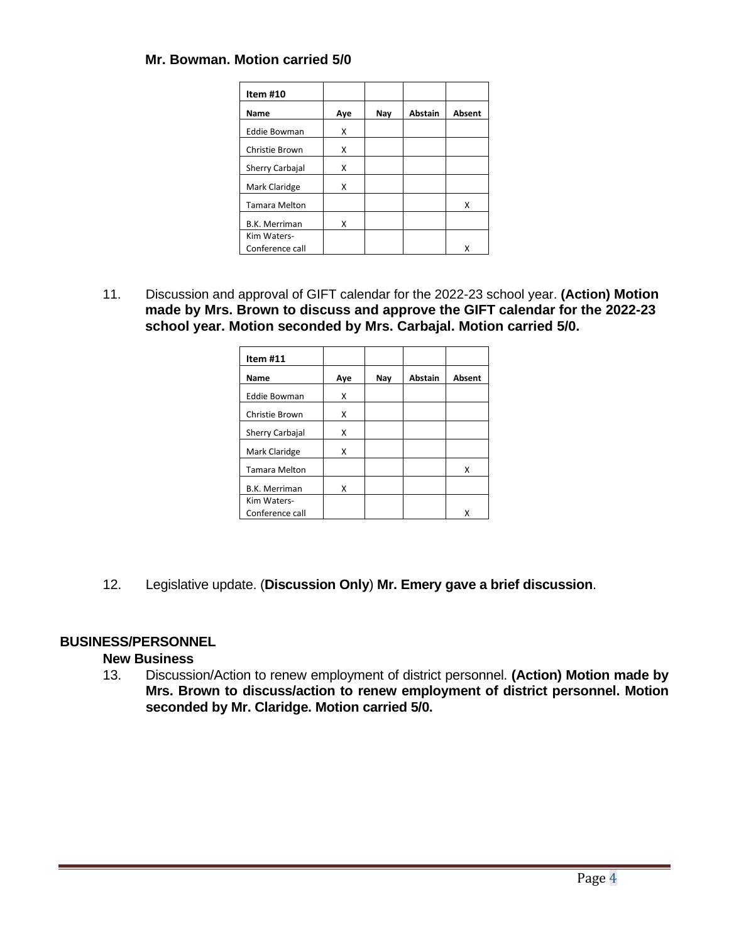## **Mr. Bowman. Motion carried 5/0**

| Item #10             |     |     |                |        |
|----------------------|-----|-----|----------------|--------|
| Name                 | Aye | Nay | <b>Abstain</b> | Absent |
| <b>Eddie Bowman</b>  | x   |     |                |        |
| Christie Brown       | x   |     |                |        |
| Sherry Carbajal      | x   |     |                |        |
| Mark Claridge        | x   |     |                |        |
| <b>Tamara Melton</b> |     |     |                | x      |
| <b>B.K. Merriman</b> | x   |     |                |        |
| Kim Waters-          |     |     |                |        |
| Conference call      |     |     |                |        |

11. Discussion and approval of GIFT calendar for the 2022-23 school year. **(Action) Motion made by Mrs. Brown to discuss and approve the GIFT calendar for the 2022-23 school year. Motion seconded by Mrs. Carbajal. Motion carried 5/0.** 

| Item #11             |     |     |                |        |
|----------------------|-----|-----|----------------|--------|
| Name                 | Aye | Nay | <b>Abstain</b> | Absent |
| <b>Eddie Bowman</b>  | Χ   |     |                |        |
| Christie Brown       | x   |     |                |        |
| Sherry Carbajal      | x   |     |                |        |
| Mark Claridge        | x   |     |                |        |
| <b>Tamara Melton</b> |     |     |                | X      |
| <b>B.K. Merriman</b> | x   |     |                |        |
| Kim Waters-          |     |     |                |        |
| Conference call      |     |     |                | x      |

12. Legislative update. (**Discussion Only**) **Mr. Emery gave a brief discussion**.

## **BUSINESS/PERSONNEL**

## **New Business**

13. Discussion/Action to renew employment of district personnel. **(Action) Motion made by Mrs. Brown to discuss/action to renew employment of district personnel. Motion seconded by Mr. Claridge. Motion carried 5/0.**